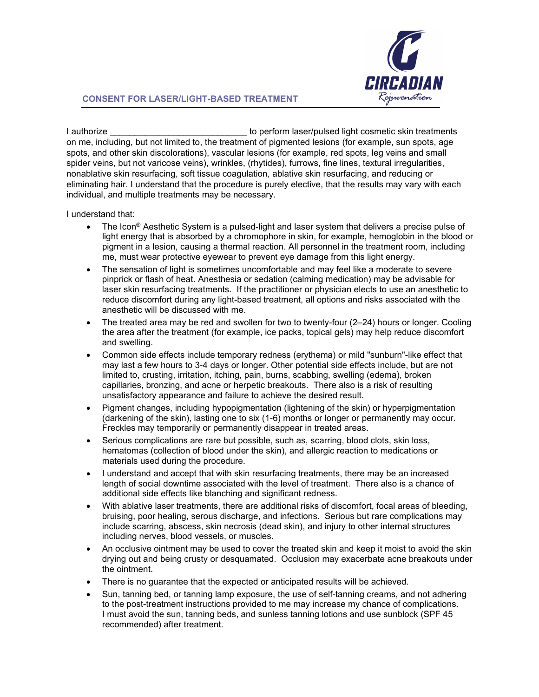

## **CONSENT FOR LASER/LIGHT-BASED TREATMENT**

I authorize **I** authorize **Southomagnetic school is a set of the set of the set of the set of the set of the set of the set of the set of the set of the set of the set of the set of the set of the set of the set of the set** on me, including, but not limited to, the treatment of pigmented lesions (for example, sun spots, age spots, and other skin discolorations), vascular lesions (for example, red spots, leg veins and small spider veins, but not varicose veins), wrinkles, (rhytides), furrows, fine lines, textural irregularities, nonablative skin resurfacing, soft tissue coagulation, ablative skin resurfacing, and reducing or eliminating hair. I understand that the procedure is purely elective, that the results may vary with each individual, and multiple treatments may be necessary.

I understand that:

- The Icon® Aesthetic System is a pulsed-light and laser system that delivers a precise pulse of light energy that is absorbed by a chromophore in skin, for example, hemoglobin in the blood or pigment in a lesion, causing a thermal reaction. All personnel in the treatment room, including me, must wear protective eyewear to prevent eye damage from this light energy.
- The sensation of light is sometimes uncomfortable and may feel like a moderate to severe pinprick or flash of heat. Anesthesia or sedation (calming medication) may be advisable for laser skin resurfacing treatments. If the practitioner or physician elects to use an anesthetic to reduce discomfort during any light-based treatment, all options and risks associated with the anesthetic will be discussed with me.
- The treated area may be red and swollen for two to twenty-four (2–24) hours or longer. Cooling the area after the treatment (for example, ice packs, topical gels) may help reduce discomfort and swelling.
- Common side effects include temporary redness (erythema) or mild "sunburn"-like effect that may last a few hours to 3-4 days or longer. Other potential side effects include, but are not limited to, crusting, irritation, itching, pain, burns, scabbing, swelling (edema), broken capillaries, bronzing, and acne or herpetic breakouts. There also is a risk of resulting unsatisfactory appearance and failure to achieve the desired result.
- Pigment changes, including hypopigmentation (lightening of the skin) or hyperpigmentation (darkening of the skin), lasting one to six (1-6) months or longer or permanently may occur. Freckles may temporarily or permanently disappear in treated areas.
- Serious complications are rare but possible, such as, scarring, blood clots, skin loss, hematomas (collection of blood under the skin), and allergic reaction to medications or materials used during the procedure.
- I understand and accept that with skin resurfacing treatments, there may be an increased length of social downtime associated with the level of treatment. There also is a chance of additional side effects like blanching and significant redness.
- With ablative laser treatments, there are additional risks of discomfort, focal areas of bleeding, bruising, poor healing, serous discharge, and infections. Serious but rare complications may include scarring, abscess, skin necrosis (dead skin), and injury to other internal structures including nerves, blood vessels, or muscles.
- An occlusive ointment may be used to cover the treated skin and keep it moist to avoid the skin drying out and being crusty or desquamated. Occlusion may exacerbate acne breakouts under the ointment.
- There is no guarantee that the expected or anticipated results will be achieved.
- Sun, tanning bed, or tanning lamp exposure, the use of self-tanning creams, and not adhering to the post-treatment instructions provided to me may increase my chance of complications. I must avoid the sun, tanning beds, and sunless tanning lotions and use sunblock (SPF 45 recommended) after treatment.